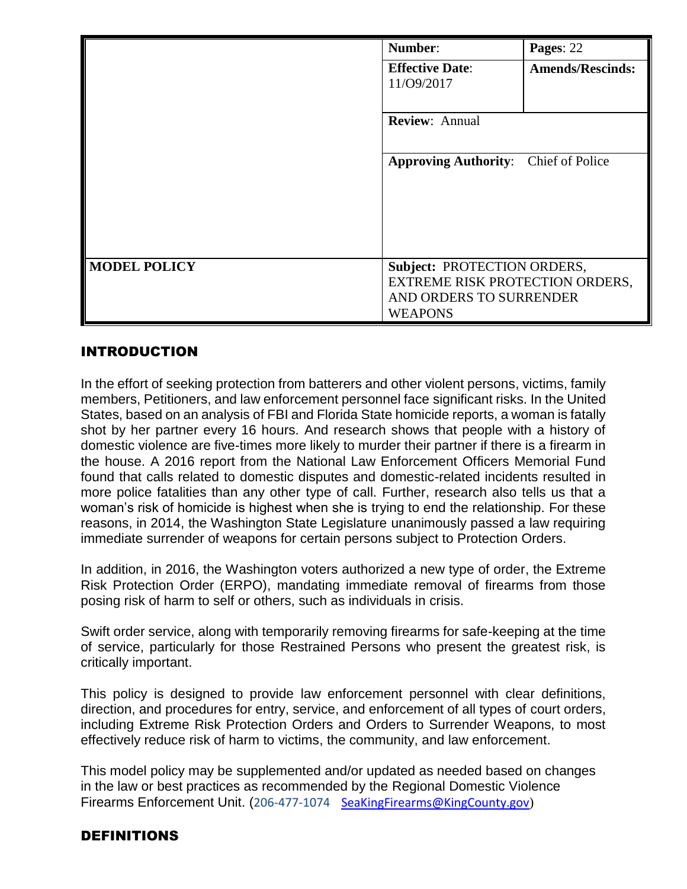|                     | Number:                                                                                                     | Pages: 22               |
|---------------------|-------------------------------------------------------------------------------------------------------------|-------------------------|
|                     | <b>Effective Date:</b><br>11/09/2017                                                                        | <b>Amends/Rescinds:</b> |
|                     | Review: Annual                                                                                              |                         |
|                     | <b>Approving Authority:</b> Chief of Police                                                                 |                         |
| <b>MODEL POLICY</b> | Subject: PROTECTION ORDERS,<br>EXTREME RISK PROTECTION ORDERS,<br>AND ORDERS TO SURRENDER<br><b>WEAPONS</b> |                         |

# INTRODUCTION

In the effort of seeking protection from batterers and other violent persons, victims, family members, Petitioners, and law enforcement personnel face significant risks. In the United States, based on an analysis of FBI and Florida State homicide reports, a woman is fatally shot by her partner every 16 hours. And research shows that people with a history of domestic violence are five-times more likely to murder their partner if there is a firearm in the house. A 2016 report from the National Law Enforcement Officers Memorial Fund found that calls related to domestic disputes and domestic-related incidents resulted in more police fatalities than any other type of call. Further, research also tells us that a woman's risk of homicide is highest when she is trying to end the relationship. For these reasons, in 2014, the Washington State Legislature unanimously passed a law requiring immediate surrender of weapons for certain persons subject to Protection Orders.

In addition, in 2016, the Washington voters authorized a new type of order, the Extreme Risk Protection Order (ERPO), mandating immediate removal of firearms from those posing risk of harm to self or others, such as individuals in crisis.

Swift order service, along with temporarily removing firearms for safe-keeping at the time of service, particularly for those Restrained Persons who present the greatest risk, is critically important.

This policy is designed to provide law enforcement personnel with clear definitions, direction, and procedures for entry, service, and enforcement of all types of court orders, including Extreme Risk Protection Orders and Orders to Surrender Weapons, to most effectively reduce risk of harm to victims, the community, and law enforcement.

This model policy may be supplemented and/or updated as needed based on changes in the law or best practices as recommended by the Regional Domestic Violence Firearms Enforcement Unit. (206-477-1074 [SeaKingFirearms@KingCounty.gov](mailto:SeaKingFirearms@KingCounty.gov))

# DEFINITIONS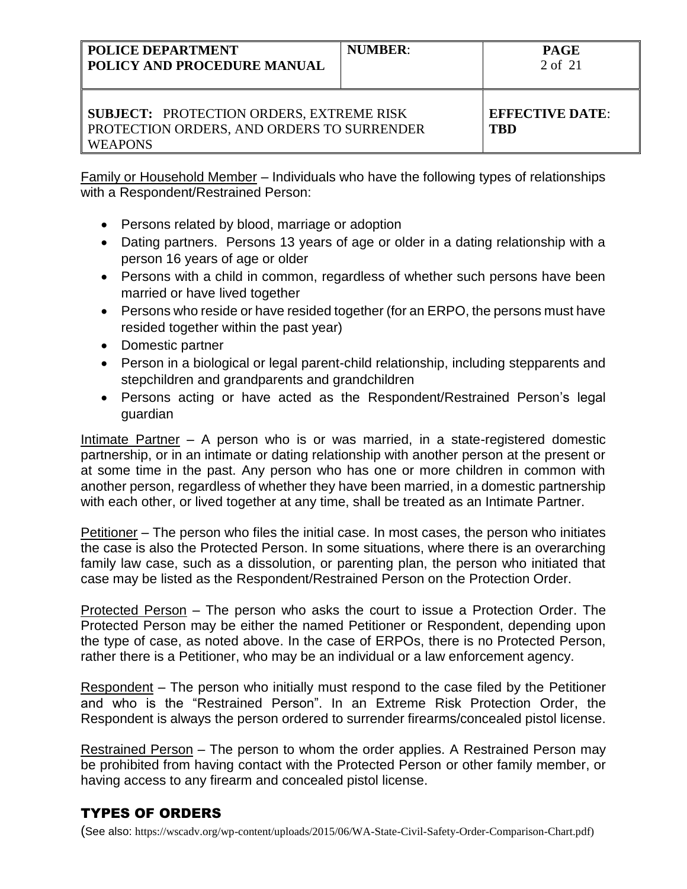| <b>POLICE DEPARTMENT</b><br>POLICY AND PROCEDURE MANUAL                                                         | <b>NUMBER:</b> | <b>PAGE</b><br>2 of 21               |
|-----------------------------------------------------------------------------------------------------------------|----------------|--------------------------------------|
| <b>SUBJECT: PROTECTION ORDERS, EXTREME RISK</b><br>PROTECTION ORDERS, AND ORDERS TO SURRENDER<br><b>WEAPONS</b> |                | <b>EFFECTIVE DATE:</b><br><b>TBD</b> |

Family or Household Member – Individuals who have the following types of relationships with a Respondent/Restrained Person:

- Persons related by blood, marriage or adoption
- Dating partners. Persons 13 years of age or older in a dating relationship with a person 16 years of age or older
- Persons with a child in common, regardless of whether such persons have been married or have lived together
- Persons who reside or have resided together (for an ERPO, the persons must have resided together within the past year)
- Domestic partner
- Person in a biological or legal parent-child relationship, including stepparents and stepchildren and grandparents and grandchildren
- Persons acting or have acted as the Respondent/Restrained Person's legal guardian

Intimate Partner – A person who is or was married, in a state-registered domestic partnership, or in an intimate or dating relationship with another person at the present or at some time in the past. Any person who has one or more children in common with another person, regardless of whether they have been married, in a domestic partnership with each other, or lived together at any time, shall be treated as an Intimate Partner.

Petitioner – The person who files the initial case. In most cases, the person who initiates the case is also the Protected Person. In some situations, where there is an overarching family law case, such as a dissolution, or parenting plan, the person who initiated that case may be listed as the Respondent/Restrained Person on the Protection Order.

Protected Person – The person who asks the court to issue a Protection Order. The Protected Person may be either the named Petitioner or Respondent, depending upon the type of case, as noted above. In the case of ERPOs, there is no Protected Person, rather there is a Petitioner, who may be an individual or a law enforcement agency.

Respondent – The person who initially must respond to the case filed by the Petitioner and who is the "Restrained Person". In an Extreme Risk Protection Order, the Respondent is always the person ordered to surrender firearms/concealed pistol license.

Restrained Person – The person to whom the order applies. A Restrained Person may be prohibited from having contact with the Protected Person or other family member, or having access to any firearm and concealed pistol license.

# TYPES OF ORDERS

(See also: https://wscadv.org/wp-content/uploads/2015/06/WA-State-Civil-Safety-Order-Comparison-Chart.pdf)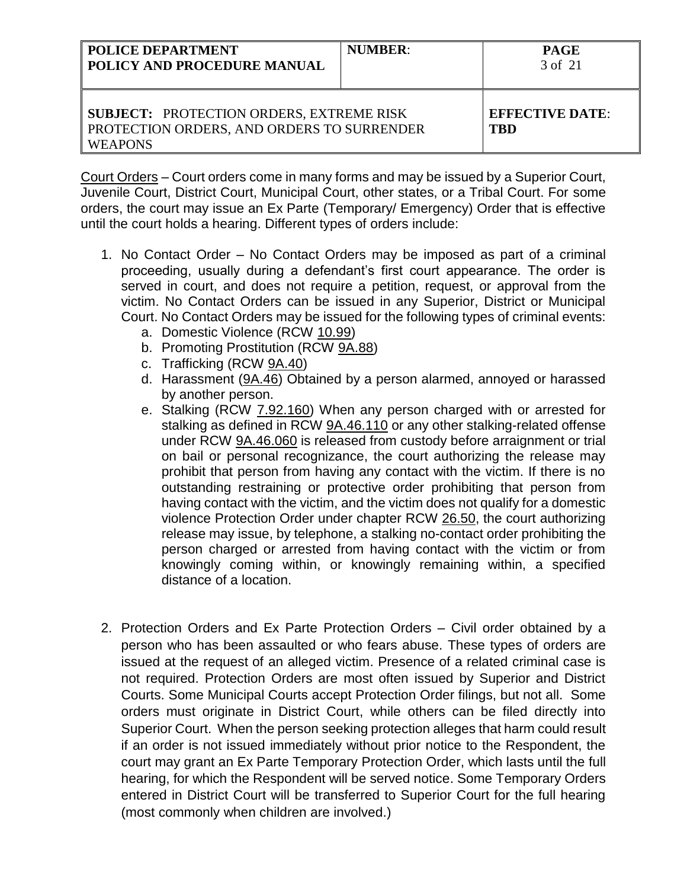| <b>POLICE DEPARTMENT</b><br>POLICY AND PROCEDURE MANUAL                                                         | <b>NUMBER:</b> | <b>PAGE</b><br>3 of 21               |
|-----------------------------------------------------------------------------------------------------------------|----------------|--------------------------------------|
| <b>SUBJECT: PROTECTION ORDERS, EXTREME RISK</b><br>PROTECTION ORDERS, AND ORDERS TO SURRENDER<br><b>WEAPONS</b> |                | <b>EFFECTIVE DATE:</b><br><b>TRD</b> |

Court Orders – Court orders come in many forms and may be issued by a Superior Court, Juvenile Court, District Court, Municipal Court, other states, or a Tribal Court. For some orders, the court may issue an Ex Parte (Temporary/ Emergency) Order that is effective until the court holds a hearing. Different types of orders include:

- 1. No Contact Order No Contact Orders may be imposed as part of a criminal proceeding, usually during a defendant's first court appearance. The order is served in court, and does not require a petition, request, or approval from the victim. No Contact Orders can be issued in any Superior, District or Municipal Court. No Contact Orders may be issued for the following types of criminal events:
	- a. Domestic Violence (RCW 10.99)
	- b. Promoting Prostitution (RCW 9A.88)
	- c. Trafficking (RCW 9A.40)
	- d. Harassment (9A.46) Obtained by a person alarmed, annoyed or harassed by another person.
	- e. Stalking (RCW 7.92.160) When any person charged with or arrested for stalking as defined in RCW [9A.46.110](http://app.leg.wa.gov/RCW/default.aspx?cite=9A.46.110) or any other stalking-related offense under RCW [9A.46.060](http://app.leg.wa.gov/RCW/default.aspx?cite=9A.46.060) is released from custody before arraignment or trial on bail or personal recognizance, the court authorizing the release may prohibit that person from having any contact with the victim. If there is no outstanding restraining or protective order prohibiting that person from having contact with the victim, and the victim does not qualify for a domestic violence Protection Order under chapter RCW [26.50,](http://app.leg.wa.gov/RCW/default.aspx?cite=26.50) the court authorizing release may issue, by telephone, a stalking no-contact order prohibiting the person charged or arrested from having contact with the victim or from knowingly coming within, or knowingly remaining within, a specified distance of a location.
- 2. Protection Orders and Ex Parte Protection Orders Civil order obtained by a person who has been assaulted or who fears abuse. These types of orders are issued at the request of an alleged victim. Presence of a related criminal case is not required. Protection Orders are most often issued by Superior and District Courts. Some Municipal Courts accept Protection Order filings, but not all. Some orders must originate in District Court, while others can be filed directly into Superior Court. When the person seeking protection alleges that harm could result if an order is not issued immediately without prior notice to the Respondent, the court may grant an Ex Parte Temporary Protection Order, which lasts until the full hearing, for which the Respondent will be served notice. Some Temporary Orders entered in District Court will be transferred to Superior Court for the full hearing (most commonly when children are involved.)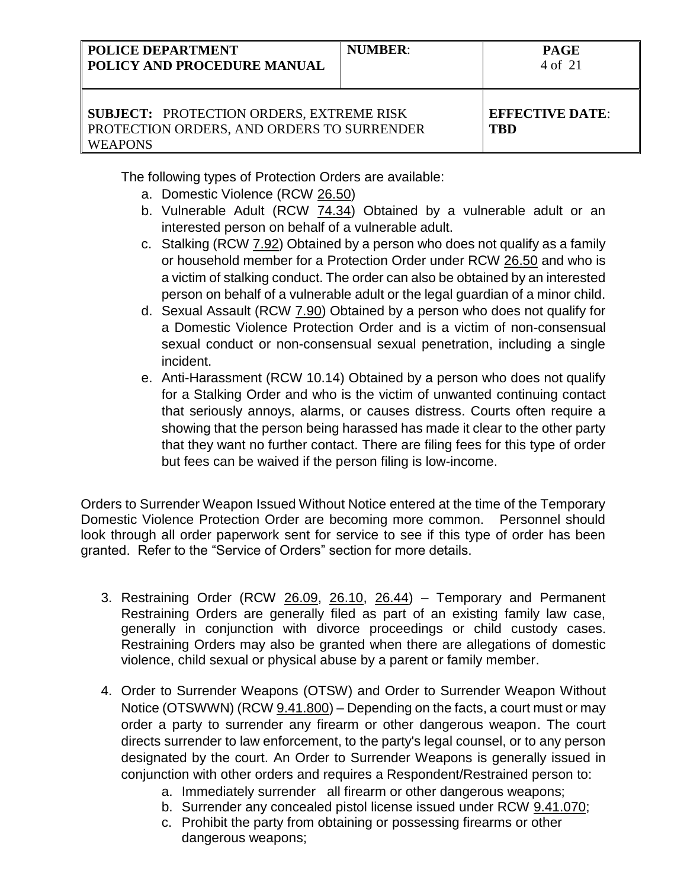| <b>POLICE DEPARTMENT</b><br>POLICY AND PROCEDURE MANUAL                                                         | <b>NUMBER:</b> | <b>PAGE</b><br>4 of 21        |
|-----------------------------------------------------------------------------------------------------------------|----------------|-------------------------------|
| <b>SUBJECT: PROTECTION ORDERS, EXTREME RISK</b><br>PROTECTION ORDERS, AND ORDERS TO SURRENDER<br><b>WEAPONS</b> |                | <b>EFFECTIVE DATE:</b><br>TBD |

The following types of Protection Orders are available:

- a. Domestic Violence (RCW 26.50)
- b. Vulnerable Adult (RCW 74.34) Obtained by a vulnerable adult or an interested person on behalf of a vulnerable adult.
- c. Stalking (RCW 7.92) Obtained by a person who does not qualify as a family or household member for a Protection Order under RCW 26.50 and who is a victim of stalking conduct. The order can also be obtained by an interested person on behalf of a vulnerable adult or the legal guardian of a minor child.
- d. Sexual Assault (RCW 7.90) Obtained by a person who does not qualify for a Domestic Violence Protection Order and is a victim of non-consensual sexual conduct or non-consensual sexual penetration, including a single incident.
- e. Anti-Harassment (RCW 10.14) Obtained by a person who does not qualify for a Stalking Order and who is the victim of unwanted continuing contact that seriously annoys, alarms, or causes distress. Courts often require a showing that the person being harassed has made it clear to the other party that they want no further contact. There are filing fees for this type of order but fees can be waived if the person filing is low-income.

Orders to Surrender Weapon Issued Without Notice entered at the time of the Temporary Domestic Violence Protection Order are becoming more common. Personnel should look through all order paperwork sent for service to see if this type of order has been granted. Refer to the "Service of Orders" section for more details.

- 3. Restraining Order (RCW 26.09, 26.10, 26.44) Temporary and Permanent Restraining Orders are generally filed as part of an existing family law case, generally in conjunction with divorce proceedings or child custody cases. Restraining Orders may also be granted when there are allegations of domestic violence, child sexual or physical abuse by a parent or family member.
- 4. Order to Surrender Weapons (OTSW) and Order to Surrender Weapon Without Notice (OTSWWN) (RCW 9.41.800) – Depending on the facts, a court must or may order a party to surrender any firearm or other dangerous weapon. The court directs surrender to law enforcement, to the party's legal counsel, or to any person designated by the court. An Order to Surrender Weapons is generally issued in conjunction with other orders and requires a Respondent/Restrained person to:
	- a. Immediately surrender all firearm or other dangerous weapons;
	- b. Surrender any concealed pistol license issued under RCW [9.41.070;](http://app.leg.wa.gov/RCW/default.aspx?cite=9.41.070)
	- c. Prohibit the party from obtaining or possessing firearms or other dangerous weapons;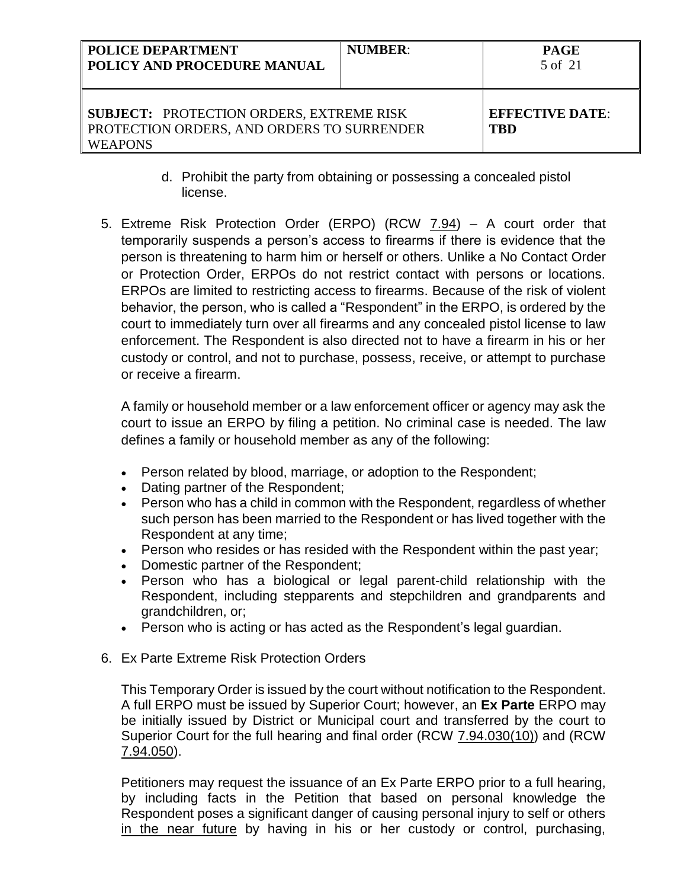| POLICE DEPARTMENT<br>POLICY AND PROCEDURE MANUAL                                                                | <b>NUMBER:</b> | <b>PAGE</b><br>5 of 21               |
|-----------------------------------------------------------------------------------------------------------------|----------------|--------------------------------------|
| <b>SUBJECT: PROTECTION ORDERS, EXTREME RISK</b><br>PROTECTION ORDERS, AND ORDERS TO SURRENDER<br><b>WEAPONS</b> |                | <b>EFFECTIVE DATE:</b><br><b>TBD</b> |

- d. Prohibit the party from obtaining or possessing a concealed pistol license.
- 5. Extreme Risk Protection Order (ERPO) (RCW 7.94) A court order that temporarily suspends a person's access to firearms if there is evidence that the person is threatening to harm him or herself or others. Unlike a No Contact Order or Protection Order, ERPOs do not restrict contact with persons or locations. ERPOs are limited to restricting access to firearms. Because of the risk of violent behavior, the person, who is called a "Respondent" in the ERPO, is ordered by the court to immediately turn over all firearms and any concealed pistol license to law enforcement. The Respondent is also directed not to have a firearm in his or her custody or control, and not to purchase, possess, receive, or attempt to purchase or receive a firearm.

A family or household member or a law enforcement officer or agency may ask the court to issue an ERPO by filing a petition. No criminal case is needed. The law defines a family or household member as any of the following:

- Person related by blood, marriage, or adoption to the Respondent;
- Dating partner of the Respondent;
- Person who has a child in common with the Respondent, regardless of whether such person has been married to the Respondent or has lived together with the Respondent at any time;
- Person who resides or has resided with the Respondent within the past year;
- Domestic partner of the Respondent;
- Person who has a biological or legal parent-child relationship with the Respondent, including stepparents and stepchildren and grandparents and grandchildren, or;
- Person who is acting or has acted as the Respondent's legal guardian.
- 6. Ex Parte Extreme Risk Protection Orders

This Temporary Order is issued by the court without notification to the Respondent. A full ERPO must be issued by Superior Court; however, an **Ex Parte** ERPO may be initially issued by District or Municipal court and transferred by the court to Superior Court for the full hearing and final order (RCW 7.94.030(10)) and (RCW 7.94.050).

Petitioners may request the issuance of an Ex Parte ERPO prior to a full hearing, by including facts in the Petition that based on personal knowledge the Respondent poses a significant danger of causing personal injury to self or others in the near future by having in his or her custody or control, purchasing,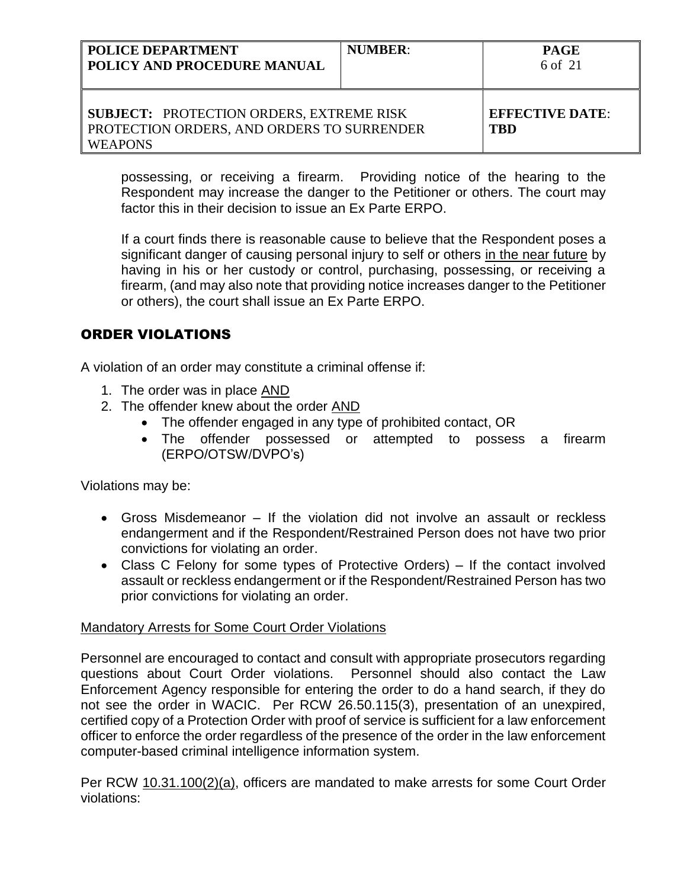| POLICE DEPARTMENT<br><b>POLICY AND PROCEDURE MANUAL</b>                                                         | <b>NUMBER:</b> | <b>PAGE</b><br>6 of 21               |
|-----------------------------------------------------------------------------------------------------------------|----------------|--------------------------------------|
| <b>SUBJECT: PROTECTION ORDERS, EXTREME RISK</b><br>PROTECTION ORDERS, AND ORDERS TO SURRENDER<br><b>WEAPONS</b> |                | <b>EFFECTIVE DATE:</b><br><b>TBD</b> |

possessing, or receiving a firearm. Providing notice of the hearing to the Respondent may increase the danger to the Petitioner or others. The court may factor this in their decision to issue an Ex Parte ERPO.

If a court finds there is reasonable cause to believe that the Respondent poses a significant danger of causing personal injury to self or others in the near future by having in his or her custody or control, purchasing, possessing, or receiving a firearm, (and may also note that providing notice increases danger to the Petitioner or others), the court shall issue an Ex Parte ERPO.

# ORDER VIOLATIONS

A violation of an order may constitute a criminal offense if:

- 1. The order was in place AND
- 2. The offender knew about the order AND
	- The offender engaged in any type of prohibited contact, OR
	- The offender possessed or attempted to possess a firearm (ERPO/OTSW/DVPO's)

Violations may be:

- Gross Misdemeanor If the violation did not involve an assault or reckless endangerment and if the Respondent/Restrained Person does not have two prior convictions for violating an order.
- Class C Felony for some types of Protective Orders) If the contact involved assault or reckless endangerment or if the Respondent/Restrained Person has two prior convictions for violating an order.

## Mandatory Arrests for Some Court Order Violations

Personnel are encouraged to contact and consult with appropriate prosecutors regarding questions about Court Order violations. Personnel should also contact the Law Enforcement Agency responsible for entering the order to do a hand search, if they do not see the order in WACIC. Per RCW 26.50.115(3), presentation of an unexpired, certified copy of a Protection Order with proof of service is sufficient for a law enforcement officer to enforce the order regardless of the presence of the order in the law enforcement computer-based criminal intelligence information system.

Per RCW 10.31.100(2)(a), officers are mandated to make arrests for some Court Order violations: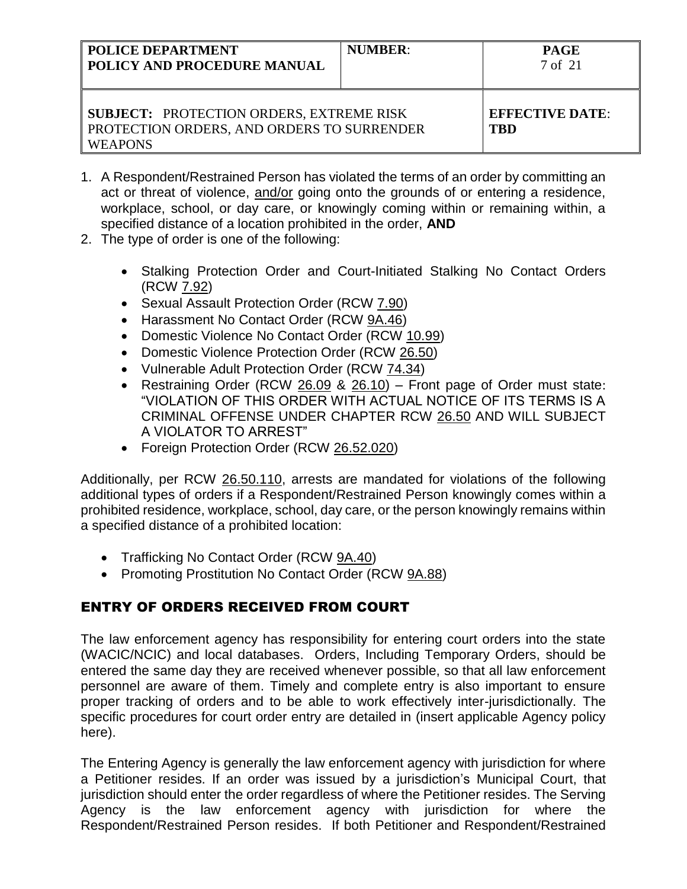| <b>POLICE DEPARTMENT</b><br>POLICY AND PROCEDURE MANUAL                                                         | <b>NUMBER:</b> | <b>PAGE</b><br>7 of 21               |
|-----------------------------------------------------------------------------------------------------------------|----------------|--------------------------------------|
| <b>SUBJECT: PROTECTION ORDERS, EXTREME RISK</b><br>PROTECTION ORDERS, AND ORDERS TO SURRENDER<br><b>WEAPONS</b> |                | <b>EFFECTIVE DATE:</b><br><b>TBD</b> |

- 1. A Respondent/Restrained Person has violated the terms of an order by committing an act or threat of violence, and/or going onto the grounds of or entering a residence, workplace, school, or day care, or knowingly coming within or remaining within, a specified distance of a location prohibited in the order, **AND**
- 2. The type of order is one of the following:
	- Stalking Protection Order and Court-Initiated Stalking No Contact Orders (RCW 7.92)
	- Sexual Assault Protection Order (RCW 7.90)
	- Harassment No Contact Order (RCW 9A.46)
	- Domestic Violence No Contact Order (RCW 10.99)
	- Domestic Violence Protection Order (RCW 26.50)
	- Vulnerable Adult Protection Order (RCW 74.34)
	- Restraining Order (RCW 26.09 & 26.10) Front page of Order must state: "VIOLATION OF THIS ORDER WITH ACTUAL NOTICE OF ITS TERMS IS A CRIMINAL OFFENSE UNDER CHAPTER RCW [26.50](http://app.leg.wa.gov/RCW/default.aspx?cite=26.50) AND WILL SUBJECT A VIOLATOR TO ARREST"
	- Foreign Protection Order (RCW 26.52.020)

Additionally, per RCW 26.50.110, arrests are mandated for violations of the following additional types of orders if a Respondent/Restrained Person knowingly comes within a prohibited residence, workplace, school, day care, or the person knowingly remains within a specified distance of a prohibited location:

- Trafficking No Contact Order (RCW 9A.40)
- Promoting Prostitution No Contact Order (RCW 9A.88)

# ENTRY OF ORDERS RECEIVED FROM COURT

The law enforcement agency has responsibility for entering court orders into the state (WACIC/NCIC) and local databases. Orders, Including Temporary Orders, should be entered the same day they are received whenever possible, so that all law enforcement personnel are aware of them. Timely and complete entry is also important to ensure proper tracking of orders and to be able to work effectively inter-jurisdictionally. The specific procedures for court order entry are detailed in (insert applicable Agency policy here).

The Entering Agency is generally the law enforcement agency with jurisdiction for where a Petitioner resides. If an order was issued by a jurisdiction's Municipal Court, that jurisdiction should enter the order regardless of where the Petitioner resides. The Serving Agency is the law enforcement agency with jurisdiction for where the Respondent/Restrained Person resides. If both Petitioner and Respondent/Restrained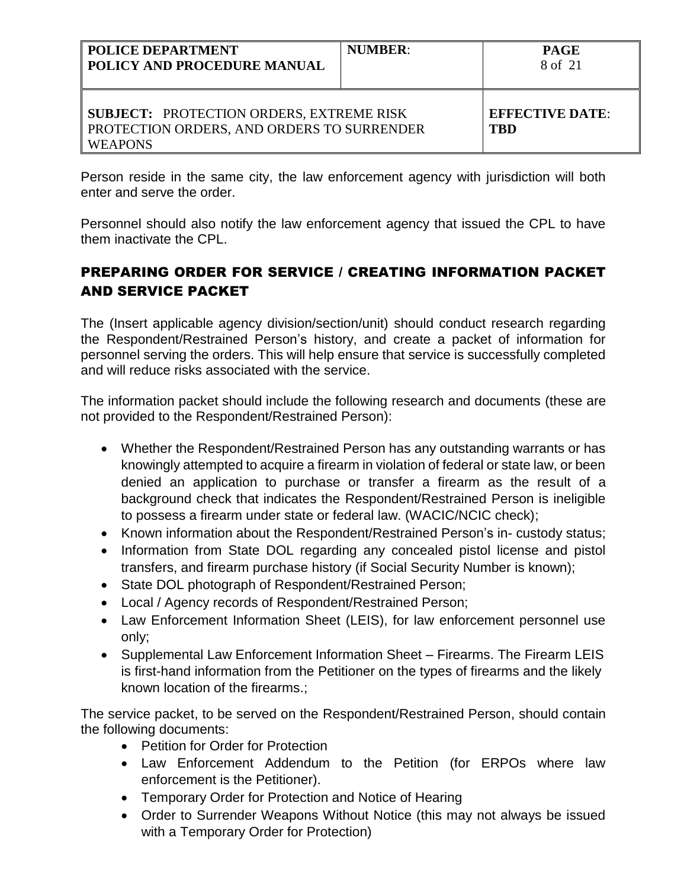| <b>POLICE DEPARTMENT</b><br>  POLICY AND PROCEDURE MANUAL                                                              | <b>NUMBER:</b> | <b>PAGE</b><br>8 of 21        |
|------------------------------------------------------------------------------------------------------------------------|----------------|-------------------------------|
| <b>SUBJECT: PROTECTION ORDERS, EXTREME RISK</b><br><b>PROTECTION ORDERS, AND ORDERS TO SURRENDER</b><br><b>WEAPONS</b> |                | <b>EFFECTIVE DATE:</b><br>TBD |

Person reside in the same city, the law enforcement agency with jurisdiction will both enter and serve the order.

Personnel should also notify the law enforcement agency that issued the CPL to have them inactivate the CPL.

# PREPARING ORDER FOR SERVICE / CREATING INFORMATION PACKET AND SERVICE PACKET

The (Insert applicable agency division/section/unit) should conduct research regarding the Respondent/Restrained Person's history, and create a packet of information for personnel serving the orders. This will help ensure that service is successfully completed and will reduce risks associated with the service.

The information packet should include the following research and documents (these are not provided to the Respondent/Restrained Person):

- Whether the Respondent/Restrained Person has any outstanding warrants or has knowingly attempted to acquire a firearm in violation of federal or state law, or been denied an application to purchase or transfer a firearm as the result of a background check that indicates the Respondent/Restrained Person is ineligible to possess a firearm under state or federal law. (WACIC/NCIC check);
- Known information about the Respondent/Restrained Person's in-custody status;
- Information from State DOL regarding any concealed pistol license and pistol transfers, and firearm purchase history (if Social Security Number is known);
- State DOL photograph of Respondent/Restrained Person;
- Local / Agency records of Respondent/Restrained Person;
- Law Enforcement Information Sheet (LEIS), for law enforcement personnel use only;
- Supplemental Law Enforcement Information Sheet Firearms. The Firearm LEIS is first-hand information from the Petitioner on the types of firearms and the likely known location of the firearms.;

The service packet, to be served on the Respondent/Restrained Person, should contain the following documents:

- Petition for Order for Protection
- Law Enforcement Addendum to the Petition (for ERPOs where law enforcement is the Petitioner).
- Temporary Order for Protection and Notice of Hearing
- Order to Surrender Weapons Without Notice (this may not always be issued with a Temporary Order for Protection)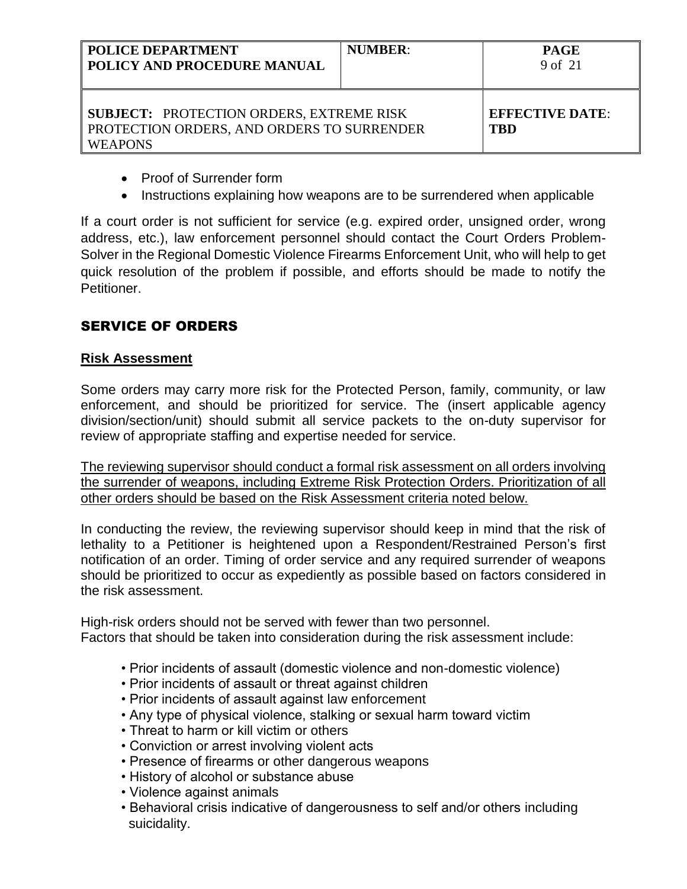| <b>POLICE DEPARTMENT</b><br>POLICY AND PROCEDURE MANUAL                                                         | <b>NUMBER:</b> | <b>PAGE</b><br>9 of 21               |
|-----------------------------------------------------------------------------------------------------------------|----------------|--------------------------------------|
| <b>SUBJECT: PROTECTION ORDERS, EXTREME RISK</b><br>PROTECTION ORDERS, AND ORDERS TO SURRENDER<br><b>WEAPONS</b> |                | <b>EFFECTIVE DATE:</b><br><b>TBD</b> |

- Proof of Surrender form
- Instructions explaining how weapons are to be surrendered when applicable

If a court order is not sufficient for service (e.g. expired order, unsigned order, wrong address, etc.), law enforcement personnel should contact the Court Orders Problem-Solver in the Regional Domestic Violence Firearms Enforcement Unit, who will help to get quick resolution of the problem if possible, and efforts should be made to notify the **Petitioner** 

# SERVICE OF ORDERS

### **Risk Assessment**

Some orders may carry more risk for the Protected Person, family, community, or law enforcement, and should be prioritized for service. The (insert applicable agency division/section/unit) should submit all service packets to the on-duty supervisor for review of appropriate staffing and expertise needed for service.

The reviewing supervisor should conduct a formal risk assessment on all orders involving the surrender of weapons, including Extreme Risk Protection Orders. Prioritization of all other orders should be based on the Risk Assessment criteria noted below.

In conducting the review, the reviewing supervisor should keep in mind that the risk of lethality to a Petitioner is heightened upon a Respondent/Restrained Person's first notification of an order. Timing of order service and any required surrender of weapons should be prioritized to occur as expediently as possible based on factors considered in the risk assessment.

High-risk orders should not be served with fewer than two personnel. Factors that should be taken into consideration during the risk assessment include:

- Prior incidents of assault (domestic violence and non-domestic violence)
- Prior incidents of assault or threat against children
- Prior incidents of assault against law enforcement
- Any type of physical violence, stalking or sexual harm toward victim
- Threat to harm or kill victim or others
- Conviction or arrest involving violent acts
- Presence of firearms or other dangerous weapons
- History of alcohol or substance abuse
- Violence against animals
- Behavioral crisis indicative of dangerousness to self and/or others including suicidality.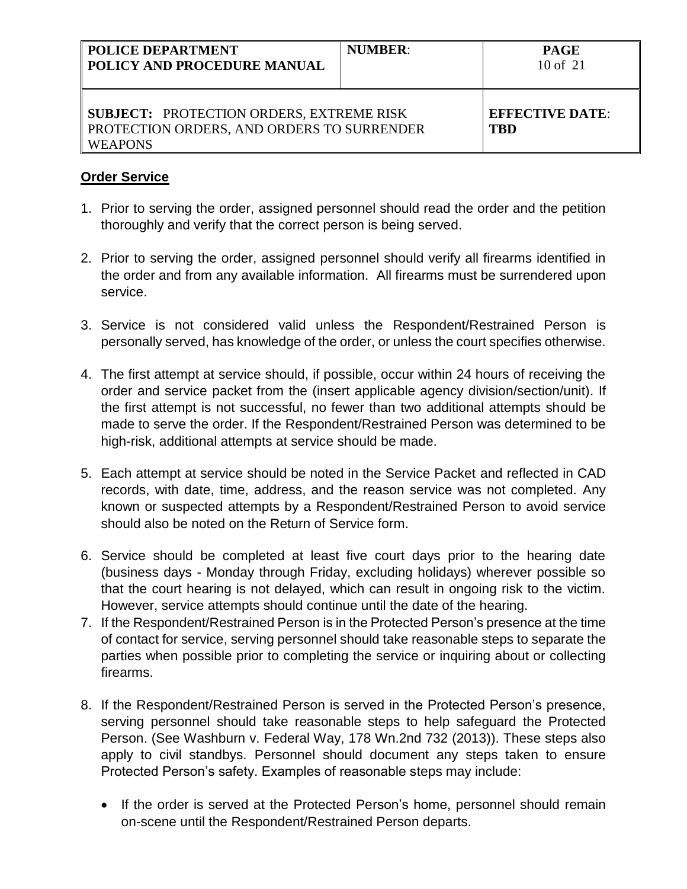| <b>POLICE DEPARTMENT</b><br>  POLICY AND PROCEDURE MANUAL                                                              | <b>NUMBER:</b> | <b>PAGE</b><br>$10$ of $21$   |
|------------------------------------------------------------------------------------------------------------------------|----------------|-------------------------------|
| <b>SUBJECT: PROTECTION ORDERS, EXTREME RISK</b><br><b>PROTECTION ORDERS, AND ORDERS TO SURRENDER</b><br><b>WEAPONS</b> |                | <b>EFFECTIVE DATE:</b><br>TBD |

## **Order Service**

- 1. Prior to serving the order, assigned personnel should read the order and the petition thoroughly and verify that the correct person is being served.
- 2. Prior to serving the order, assigned personnel should verify all firearms identified in the order and from any available information. All firearms must be surrendered upon service.
- 3. Service is not considered valid unless the Respondent/Restrained Person is personally served, has knowledge of the order, or unless the court specifies otherwise.
- 4. The first attempt at service should, if possible, occur within 24 hours of receiving the order and service packet from the (insert applicable agency division/section/unit). If the first attempt is not successful, no fewer than two additional attempts should be made to serve the order. If the Respondent/Restrained Person was determined to be high-risk, additional attempts at service should be made.
- 5. Each attempt at service should be noted in the Service Packet and reflected in CAD records, with date, time, address, and the reason service was not completed. Any known or suspected attempts by a Respondent/Restrained Person to avoid service should also be noted on the Return of Service form.
- 6. Service should be completed at least five court days prior to the hearing date (business days - Monday through Friday, excluding holidays) wherever possible so that the court hearing is not delayed, which can result in ongoing risk to the victim. However, service attempts should continue until the date of the hearing.
- 7. If the Respondent/Restrained Person is in the Protected Person's presence at the time of contact for service, serving personnel should take reasonable steps to separate the parties when possible prior to completing the service or inquiring about or collecting firearms.
- 8. If the Respondent/Restrained Person is served in the Protected Person's presence, serving personnel should take reasonable steps to help safeguard the Protected Person. (See Washburn v. Federal Way, 178 Wn.2nd 732 (2013)). These steps also apply to civil standbys. Personnel should document any steps taken to ensure Protected Person's safety. Examples of reasonable steps may include:
	- If the order is served at the Protected Person's home, personnel should remain on-scene until the Respondent/Restrained Person departs.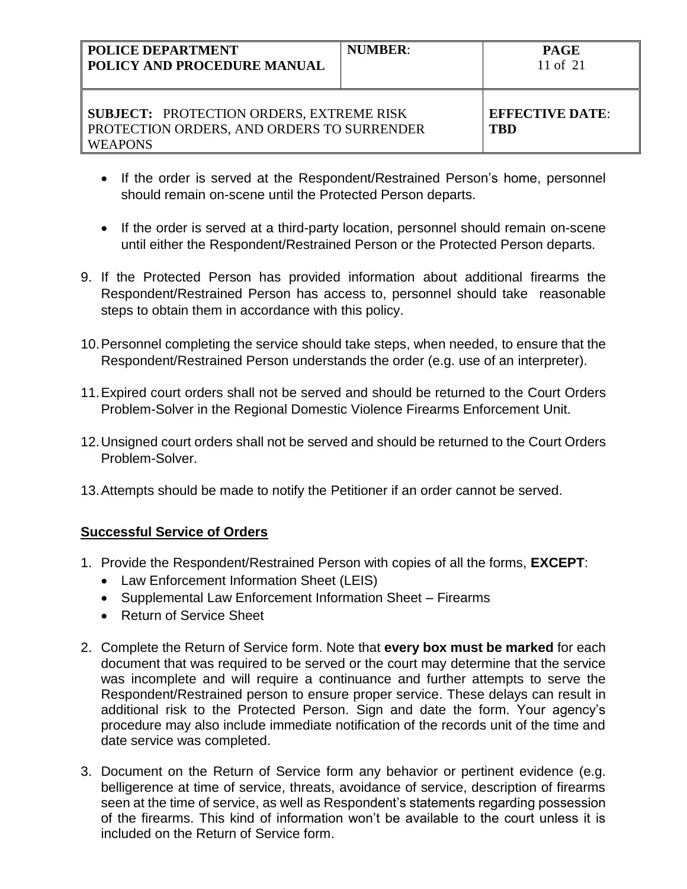| <b>POLICE DEPARTMENT</b><br>POLICY AND PROCEDURE MANUAL                                                         | <b>NUMBER:</b> | <b>PAGE</b><br>11 of $21$     |
|-----------------------------------------------------------------------------------------------------------------|----------------|-------------------------------|
| <b>SUBJECT: PROTECTION ORDERS, EXTREME RISK</b><br>PROTECTION ORDERS, AND ORDERS TO SURRENDER<br><b>WEAPONS</b> |                | <b>EFFECTIVE DATE:</b><br>TRD |

- If the order is served at the Respondent/Restrained Person's home, personnel should remain on-scene until the Protected Person departs.
- If the order is served at a third-party location, personnel should remain on-scene until either the Respondent/Restrained Person or the Protected Person departs.
- 9. If the Protected Person has provided information about additional firearms the Respondent/Restrained Person has access to, personnel should take reasonable steps to obtain them in accordance with this policy.
- 10.Personnel completing the service should take steps, when needed, to ensure that the Respondent/Restrained Person understands the order (e.g. use of an interpreter).
- 11.Expired court orders shall not be served and should be returned to the Court Orders Problem-Solver in the Regional Domestic Violence Firearms Enforcement Unit.
- 12.Unsigned court orders shall not be served and should be returned to the Court Orders Problem-Solver.
- 13.Attempts should be made to notify the Petitioner if an order cannot be served.

# **Successful Service of Orders**

- 1. Provide the Respondent/Restrained Person with copies of all the forms, **EXCEPT**:
	- Law Enforcement Information Sheet (LEIS)
	- Supplemental Law Enforcement Information Sheet Firearms
	- Return of Service Sheet
- 2. Complete the Return of Service form. Note that **every box must be marked** for each document that was required to be served or the court may determine that the service was incomplete and will require a continuance and further attempts to serve the Respondent/Restrained person to ensure proper service. These delays can result in additional risk to the Protected Person. Sign and date the form. Your agency's procedure may also include immediate notification of the records unit of the time and date service was completed.
- 3. Document on the Return of Service form any behavior or pertinent evidence (e.g. belligerence at time of service, threats, avoidance of service, description of firearms seen at the time of service, as well as Respondent's statements regarding possession of the firearms. This kind of information won't be available to the court unless it is included on the Return of Service form.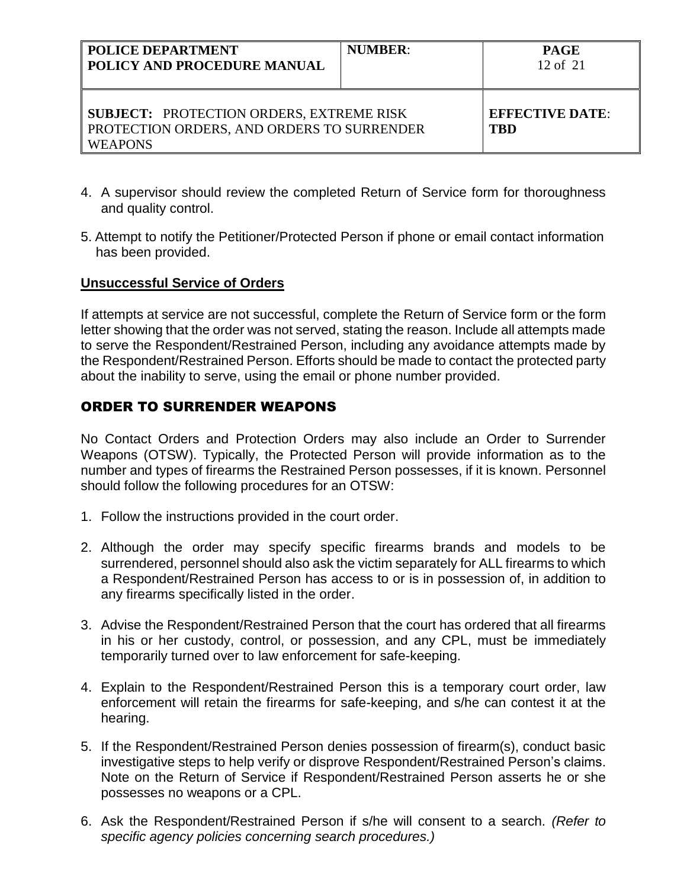| POLICE DEPARTMENT<br>POLICY AND PROCEDURE MANUAL                                                                | <b>NUMBER:</b> | <b>PAGE</b><br>$12$ of $21$          |
|-----------------------------------------------------------------------------------------------------------------|----------------|--------------------------------------|
| <b>SUBJECT: PROTECTION ORDERS, EXTREME RISK</b><br>PROTECTION ORDERS, AND ORDERS TO SURRENDER<br><b>WEAPONS</b> |                | <b>EFFECTIVE DATE:</b><br><b>TBD</b> |

- 4. A supervisor should review the completed Return of Service form for thoroughness and quality control.
- 5. Attempt to notify the Petitioner/Protected Person if phone or email contact information has been provided.

### **Unsuccessful Service of Orders**

If attempts at service are not successful, complete the Return of Service form or the form letter showing that the order was not served, stating the reason. Include all attempts made to serve the Respondent/Restrained Person, including any avoidance attempts made by the Respondent/Restrained Person. Efforts should be made to contact the protected party about the inability to serve, using the email or phone number provided.

## ORDER TO SURRENDER WEAPONS

No Contact Orders and Protection Orders may also include an Order to Surrender Weapons (OTSW). Typically, the Protected Person will provide information as to the number and types of firearms the Restrained Person possesses, if it is known. Personnel should follow the following procedures for an OTSW:

- 1. Follow the instructions provided in the court order.
- 2. Although the order may specify specific firearms brands and models to be surrendered, personnel should also ask the victim separately for ALL firearms to which a Respondent/Restrained Person has access to or is in possession of, in addition to any firearms specifically listed in the order.
- 3. Advise the Respondent/Restrained Person that the court has ordered that all firearms in his or her custody, control, or possession, and any CPL, must be immediately temporarily turned over to law enforcement for safe-keeping.
- 4. Explain to the Respondent/Restrained Person this is a temporary court order, law enforcement will retain the firearms for safe-keeping, and s/he can contest it at the hearing.
- 5. If the Respondent/Restrained Person denies possession of firearm(s), conduct basic investigative steps to help verify or disprove Respondent/Restrained Person's claims. Note on the Return of Service if Respondent/Restrained Person asserts he or she possesses no weapons or a CPL.
- 6. Ask the Respondent/Restrained Person if s/he will consent to a search. *(Refer to specific agency policies concerning search procedures.)*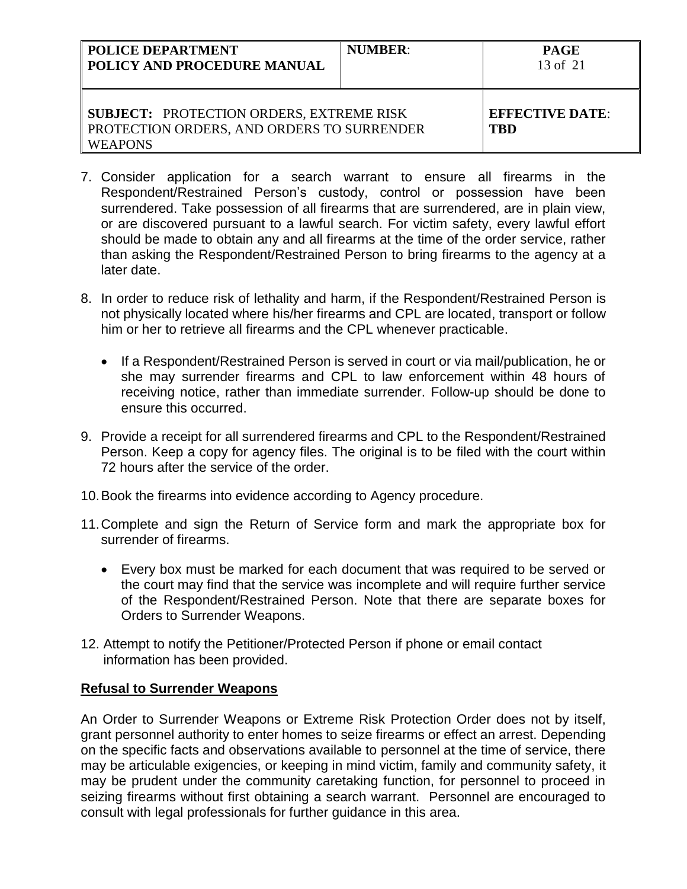| <b>POLICE DEPARTMENT</b><br>POLICY AND PROCEDURE MANUAL                                                         | <b>NUMBER:</b> | <b>PAGE</b><br>13 of 21              |
|-----------------------------------------------------------------------------------------------------------------|----------------|--------------------------------------|
| <b>SUBJECT: PROTECTION ORDERS, EXTREME RISK</b><br>PROTECTION ORDERS, AND ORDERS TO SURRENDER<br><b>WEAPONS</b> |                | <b>EFFECTIVE DATE:</b><br><b>TBD</b> |

- 7. Consider application for a search warrant to ensure all firearms in the Respondent/Restrained Person's custody, control or possession have been surrendered. Take possession of all firearms that are surrendered, are in plain view, or are discovered pursuant to a lawful search. For victim safety, every lawful effort should be made to obtain any and all firearms at the time of the order service, rather than asking the Respondent/Restrained Person to bring firearms to the agency at a later date.
- 8. In order to reduce risk of lethality and harm, if the Respondent/Restrained Person is not physically located where his/her firearms and CPL are located, transport or follow him or her to retrieve all firearms and the CPL whenever practicable.
	- If a Respondent/Restrained Person is served in court or via mail/publication, he or she may surrender firearms and CPL to law enforcement within 48 hours of receiving notice, rather than immediate surrender. Follow-up should be done to ensure this occurred.
- 9. Provide a receipt for all surrendered firearms and CPL to the Respondent/Restrained Person. Keep a copy for agency files. The original is to be filed with the court within 72 hours after the service of the order.
- 10.Book the firearms into evidence according to Agency procedure.
- 11.Complete and sign the Return of Service form and mark the appropriate box for surrender of firearms.
	- Every box must be marked for each document that was required to be served or the court may find that the service was incomplete and will require further service of the Respondent/Restrained Person. Note that there are separate boxes for Orders to Surrender Weapons.
- 12. Attempt to notify the Petitioner/Protected Person if phone or email contact information has been provided.

## **Refusal to Surrender Weapons**

An Order to Surrender Weapons or Extreme Risk Protection Order does not by itself, grant personnel authority to enter homes to seize firearms or effect an arrest. Depending on the specific facts and observations available to personnel at the time of service, there may be articulable exigencies, or keeping in mind victim, family and community safety, it may be prudent under the community caretaking function, for personnel to proceed in seizing firearms without first obtaining a search warrant. Personnel are encouraged to consult with legal professionals for further guidance in this area.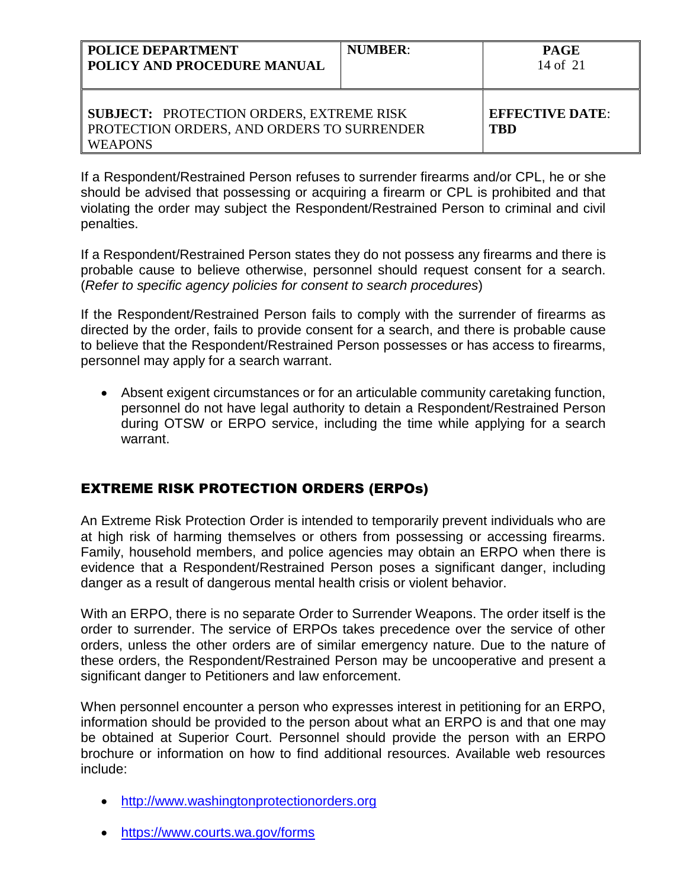| <b>POLICE DEPARTMENT</b><br><b>  POLICY AND PROCEDURE MANUAL</b>                                                       | <b>NUMBER:</b> | <b>PAGE</b><br>14 of $21$            |
|------------------------------------------------------------------------------------------------------------------------|----------------|--------------------------------------|
| <b>SUBJECT: PROTECTION ORDERS, EXTREME RISK</b><br><b>PROTECTION ORDERS, AND ORDERS TO SURRENDER</b><br><b>WEAPONS</b> |                | <b>EFFECTIVE DATE:</b><br><b>TRD</b> |

If a Respondent/Restrained Person refuses to surrender firearms and/or CPL, he or she should be advised that possessing or acquiring a firearm or CPL is prohibited and that violating the order may subject the Respondent/Restrained Person to criminal and civil penalties.

If a Respondent/Restrained Person states they do not possess any firearms and there is probable cause to believe otherwise, personnel should request consent for a search. (*Refer to specific agency policies for consent to search procedures*)

If the Respondent/Restrained Person fails to comply with the surrender of firearms as directed by the order, fails to provide consent for a search, and there is probable cause to believe that the Respondent/Restrained Person possesses or has access to firearms, personnel may apply for a search warrant.

 Absent exigent circumstances or for an articulable community caretaking function, personnel do not have legal authority to detain a Respondent/Restrained Person during OTSW or ERPO service, including the time while applying for a search warrant.

# EXTREME RISK PROTECTION ORDERS (ERPOs)

An Extreme Risk Protection Order is intended to temporarily prevent individuals who are at high risk of harming themselves or others from possessing or accessing firearms. Family, household members, and police agencies may obtain an ERPO when there is evidence that a Respondent/Restrained Person poses a significant danger, including danger as a result of dangerous mental health crisis or violent behavior.

With an ERPO, there is no separate Order to Surrender Weapons. The order itself is the order to surrender. The service of ERPOs takes precedence over the service of other orders, unless the other orders are of similar emergency nature. Due to the nature of these orders, the Respondent/Restrained Person may be uncooperative and present a significant danger to Petitioners and law enforcement.

When personnel encounter a person who expresses interest in petitioning for an ERPO, information should be provided to the person about what an ERPO is and that one may be obtained at Superior Court. Personnel should provide the person with an ERPO brochure or information on how to find additional resources. Available web resources include:

- [http://www.washingtonprotectionorders.org](http://www.washingtonprotectionorders.org/)
- <https://www.courts.wa.gov/forms>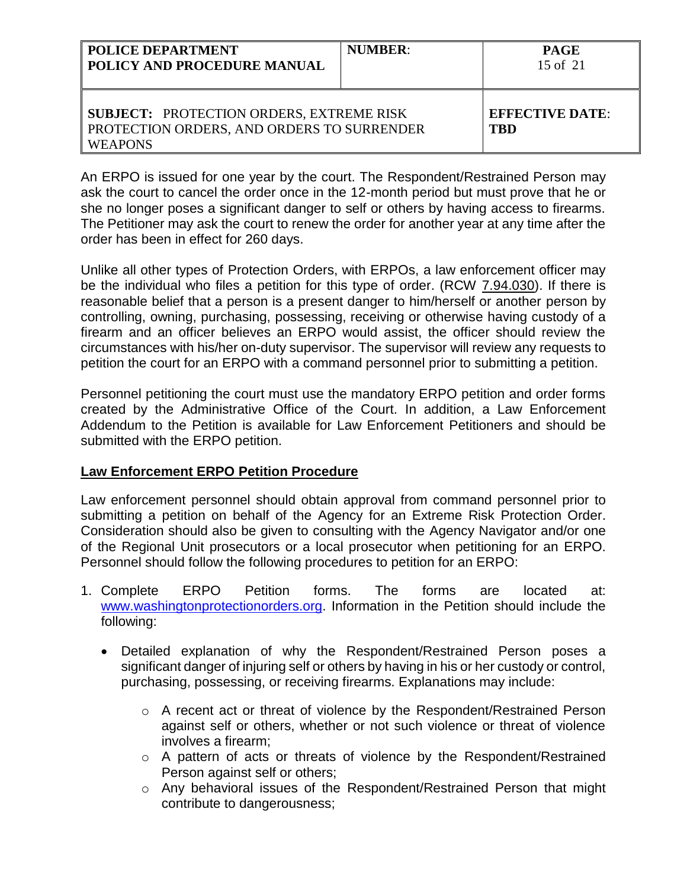| POLICE DEPARTMENT<br>POLICY AND PROCEDURE MANUAL                                                                | <b>NUMBER:</b> | <b>PAGE</b><br>15 of 21              |
|-----------------------------------------------------------------------------------------------------------------|----------------|--------------------------------------|
| <b>SUBJECT: PROTECTION ORDERS, EXTREME RISK</b><br>PROTECTION ORDERS, AND ORDERS TO SURRENDER<br><b>WEAPONS</b> |                | <b>EFFECTIVE DATE:</b><br><b>TBD</b> |

An ERPO is issued for one year by the court. The Respondent/Restrained Person may ask the court to cancel the order once in the 12-month period but must prove that he or she no longer poses a significant danger to self or others by having access to firearms. The Petitioner may ask the court to renew the order for another year at any time after the order has been in effect for 260 days.

Unlike all other types of Protection Orders, with ERPOs, a law enforcement officer may be the individual who files a petition for this type of order. (RCW 7.94.030). If there is reasonable belief that a person is a present danger to him/herself or another person by controlling, owning, purchasing, possessing, receiving or otherwise having custody of a firearm and an officer believes an ERPO would assist, the officer should review the circumstances with his/her on-duty supervisor. The supervisor will review any requests to petition the court for an ERPO with a command personnel prior to submitting a petition.

Personnel petitioning the court must use the mandatory ERPO petition and order forms created by the Administrative Office of the Court. In addition, a Law Enforcement Addendum to the Petition is available for Law Enforcement Petitioners and should be submitted with the ERPO petition.

## **Law Enforcement ERPO Petition Procedure**

Law enforcement personnel should obtain approval from command personnel prior to submitting a petition on behalf of the Agency for an Extreme Risk Protection Order. Consideration should also be given to consulting with the Agency Navigator and/or one of the Regional Unit prosecutors or a local prosecutor when petitioning for an ERPO. Personnel should follow the following procedures to petition for an ERPO:

- 1. Complete ERPO Petition forms. The forms are located at: [www.washingtonprotectionorders.org.](http://www.washingtonprotectionorders.org/) Information in the Petition should include the following:
	- Detailed explanation of why the Respondent/Restrained Person poses a significant danger of injuring self or others by having in his or her custody or control, purchasing, possessing, or receiving firearms. Explanations may include:
		- o A recent act or threat of violence by the Respondent/Restrained Person against self or others, whether or not such violence or threat of violence involves a firearm;
		- o A pattern of acts or threats of violence by the Respondent/Restrained Person against self or others;
		- o Any behavioral issues of the Respondent/Restrained Person that might contribute to dangerousness;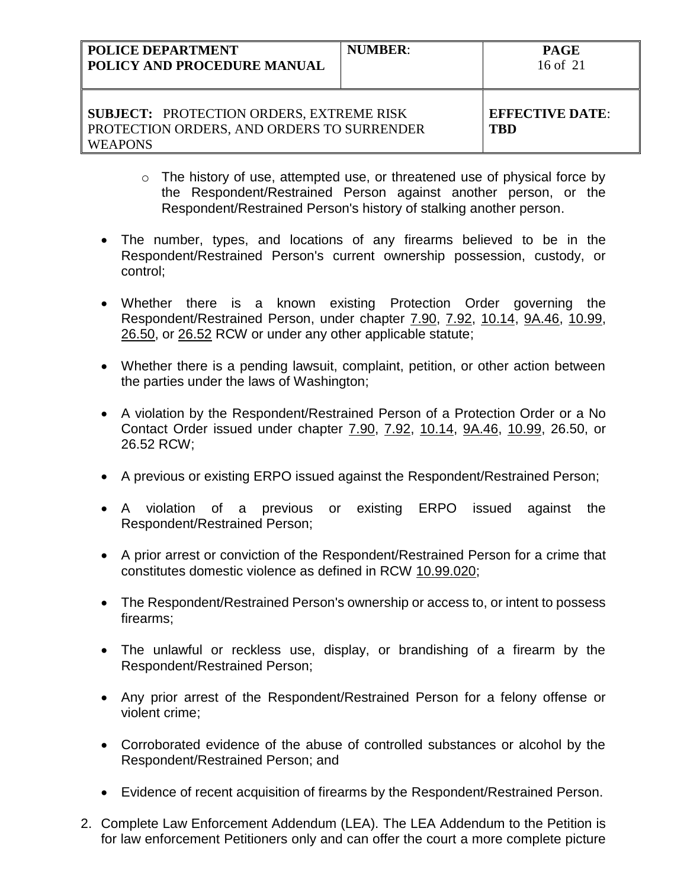| <b>POLICE DEPARTMENT</b><br>POLICY AND PROCEDURE MANUAL                                                         | <b>NUMBER:</b> | <b>PAGE</b><br>16 of $21$     |
|-----------------------------------------------------------------------------------------------------------------|----------------|-------------------------------|
| <b>SUBJECT: PROTECTION ORDERS, EXTREME RISK</b><br>PROTECTION ORDERS, AND ORDERS TO SURRENDER<br><b>WEAPONS</b> |                | <b>EFFECTIVE DATE:</b><br>TBD |

- o The history of use, attempted use, or threatened use of physical force by the Respondent/Restrained Person against another person, or the Respondent/Restrained Person's history of stalking another person.
- The number, types, and locations of any firearms believed to be in the Respondent/Restrained Person's current ownership possession, custody, or control;
- Whether there is a known existing Protection Order governing the Respondent/Restrained Person, under chapter 7.90, 7.92, 10.14, 9A.46, 10.99, 26.50, or 26.52 RCW or under any other applicable statute;
- Whether there is a pending lawsuit, complaint, petition, or other action between the parties under the laws of Washington;
- A violation by the Respondent/Restrained Person of a Protection Order or a No Contact Order issued under chapter 7.90, 7.92, 10.14, 9A.46, 10.99, 26.50, or 26.52 RCW;
- A previous or existing ERPO issued against the Respondent/Restrained Person;
- A violation of a previous or existing ERPO issued against the Respondent/Restrained Person;
- A prior arrest or conviction of the Respondent/Restrained Person for a crime that constitutes domestic violence as defined in RCW 10.99.020;
- The Respondent/Restrained Person's ownership or access to, or intent to possess firearms;
- The unlawful or reckless use, display, or brandishing of a firearm by the Respondent/Restrained Person;
- Any prior arrest of the Respondent/Restrained Person for a felony offense or violent crime;
- Corroborated evidence of the abuse of controlled substances or alcohol by the Respondent/Restrained Person; and
- Evidence of recent acquisition of firearms by the Respondent/Restrained Person.
- 2. Complete Law Enforcement Addendum (LEA). The LEA Addendum to the Petition is for law enforcement Petitioners only and can offer the court a more complete picture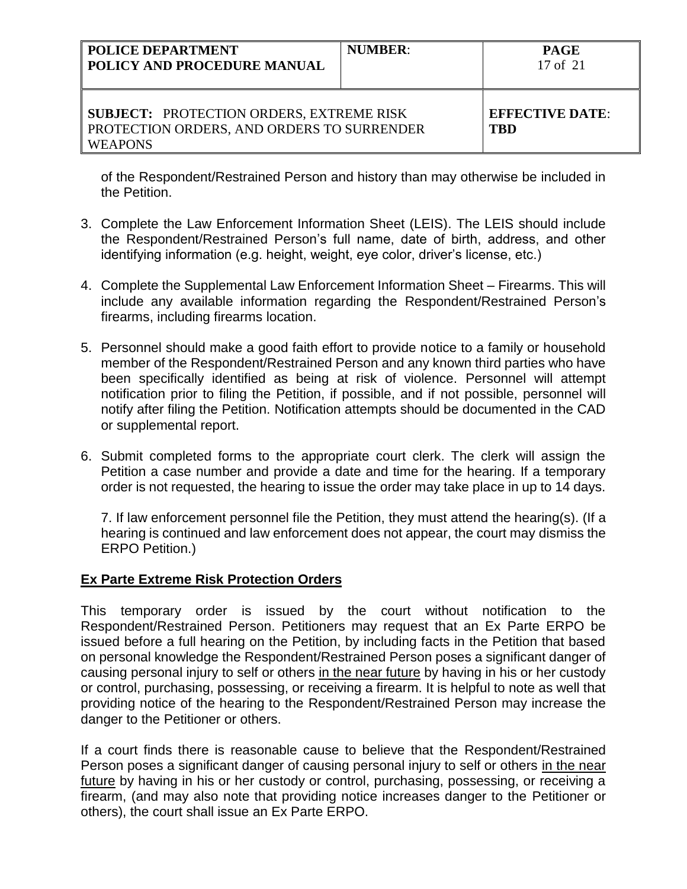| <b>POLICE DEPARTMENT</b><br>  POLICY AND PROCEDURE MANUAL                                                              | <b>NUMBER:</b> | <b>PAGE</b><br>17 of 21              |
|------------------------------------------------------------------------------------------------------------------------|----------------|--------------------------------------|
| <b>SUBJECT: PROTECTION ORDERS, EXTREME RISK</b><br><b>PROTECTION ORDERS, AND ORDERS TO SURRENDER</b><br><b>WEAPONS</b> |                | <b>EFFECTIVE DATE:</b><br><b>TBD</b> |

of the Respondent/Restrained Person and history than may otherwise be included in the Petition.

- 3. Complete the Law Enforcement Information Sheet (LEIS). The LEIS should include the Respondent/Restrained Person's full name, date of birth, address, and other identifying information (e.g. height, weight, eye color, driver's license, etc.)
- 4. Complete the Supplemental Law Enforcement Information Sheet Firearms. This will include any available information regarding the Respondent/Restrained Person's firearms, including firearms location.
- 5. Personnel should make a good faith effort to provide notice to a family or household member of the Respondent/Restrained Person and any known third parties who have been specifically identified as being at risk of violence. Personnel will attempt notification prior to filing the Petition, if possible, and if not possible, personnel will notify after filing the Petition. Notification attempts should be documented in the CAD or supplemental report.
- 6. Submit completed forms to the appropriate court clerk. The clerk will assign the Petition a case number and provide a date and time for the hearing. If a temporary order is not requested, the hearing to issue the order may take place in up to 14 days.

7. If law enforcement personnel file the Petition, they must attend the hearing(s). (If a hearing is continued and law enforcement does not appear, the court may dismiss the ERPO Petition.)

## **Ex Parte Extreme Risk Protection Orders**

This temporary order is issued by the court without notification to the Respondent/Restrained Person. Petitioners may request that an Ex Parte ERPO be issued before a full hearing on the Petition, by including facts in the Petition that based on personal knowledge the Respondent/Restrained Person poses a significant danger of causing personal injury to self or others in the near future by having in his or her custody or control, purchasing, possessing, or receiving a firearm. It is helpful to note as well that providing notice of the hearing to the Respondent/Restrained Person may increase the danger to the Petitioner or others.

If a court finds there is reasonable cause to believe that the Respondent/Restrained Person poses a significant danger of causing personal injury to self or others in the near future by having in his or her custody or control, purchasing, possessing, or receiving a firearm, (and may also note that providing notice increases danger to the Petitioner or others), the court shall issue an Ex Parte ERPO.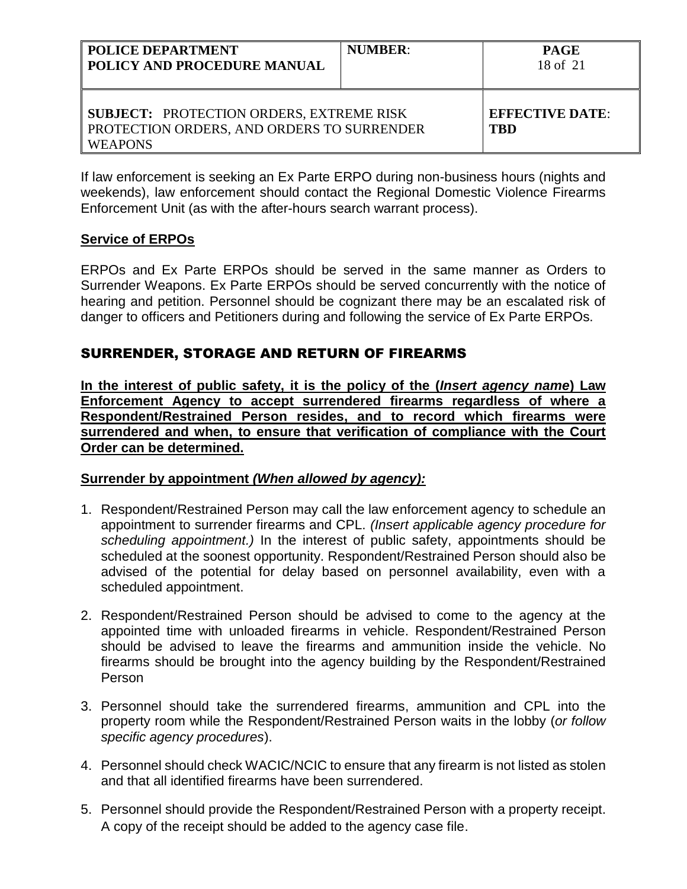| <b>POLICE DEPARTMENT</b><br>POLICY AND PROCEDURE MANUAL                                                         | <b>NUMBER:</b> | <b>PAGE</b><br>18 of 21              |
|-----------------------------------------------------------------------------------------------------------------|----------------|--------------------------------------|
| <b>SUBJECT: PROTECTION ORDERS, EXTREME RISK</b><br>PROTECTION ORDERS, AND ORDERS TO SURRENDER<br><b>WEAPONS</b> |                | <b>EFFECTIVE DATE:</b><br><b>TBD</b> |

If law enforcement is seeking an Ex Parte ERPO during non-business hours (nights and weekends), law enforcement should contact the Regional Domestic Violence Firearms Enforcement Unit (as with the after-hours search warrant process).

## **Service of ERPOs**

ERPOs and Ex Parte ERPOs should be served in the same manner as Orders to Surrender Weapons. Ex Parte ERPOs should be served concurrently with the notice of hearing and petition. Personnel should be cognizant there may be an escalated risk of danger to officers and Petitioners during and following the service of Ex Parte ERPOs.

# SURRENDER, STORAGE AND RETURN OF FIREARMS

**In the interest of public safety, it is the policy of the (***Insert agency name***) Law Enforcement Agency to accept surrendered firearms regardless of where a Respondent/Restrained Person resides, and to record which firearms were surrendered and when, to ensure that verification of compliance with the Court Order can be determined.**

## **Surrender by appointment** *(When allowed by agency):*

- 1. Respondent/Restrained Person may call the law enforcement agency to schedule an appointment to surrender firearms and CPL. *(Insert applicable agency procedure for scheduling appointment.)* In the interest of public safety, appointments should be scheduled at the soonest opportunity. Respondent/Restrained Person should also be advised of the potential for delay based on personnel availability, even with a scheduled appointment.
- 2. Respondent/Restrained Person should be advised to come to the agency at the appointed time with unloaded firearms in vehicle. Respondent/Restrained Person should be advised to leave the firearms and ammunition inside the vehicle. No firearms should be brought into the agency building by the Respondent/Restrained Person
- 3. Personnel should take the surrendered firearms, ammunition and CPL into the property room while the Respondent/Restrained Person waits in the lobby (*or follow specific agency procedures*).
- 4. Personnel should check WACIC/NCIC to ensure that any firearm is not listed as stolen and that all identified firearms have been surrendered.
- 5. Personnel should provide the Respondent/Restrained Person with a property receipt. A copy of the receipt should be added to the agency case file.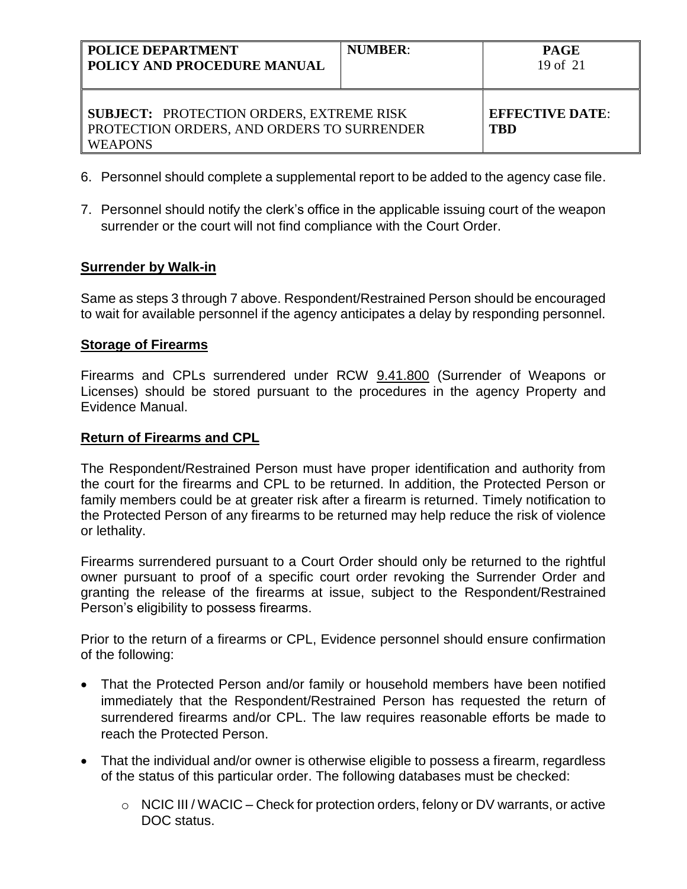| <b>POLICE DEPARTMENT</b><br>  POLICY AND PROCEDURE MANUAL                                                              | <b>NUMBER:</b> | <b>PAGE</b><br>19 of $21$     |
|------------------------------------------------------------------------------------------------------------------------|----------------|-------------------------------|
| <b>SUBJECT: PROTECTION ORDERS, EXTREME RISK</b><br><b>PROTECTION ORDERS, AND ORDERS TO SURRENDER</b><br><b>WEAPONS</b> |                | <b>EFFECTIVE DATE:</b><br>TBD |

- 6. Personnel should complete a supplemental report to be added to the agency case file.
- 7. Personnel should notify the clerk's office in the applicable issuing court of the weapon surrender or the court will not find compliance with the Court Order.

## **Surrender by Walk-in**

Same as steps 3 through 7 above. Respondent/Restrained Person should be encouraged to wait for available personnel if the agency anticipates a delay by responding personnel.

### **Storage of Firearms**

Firearms and CPLs surrendered under RCW 9.41.800 (Surrender of Weapons or Licenses) should be stored pursuant to the procedures in the agency Property and Evidence Manual.

### **Return of Firearms and CPL**

The Respondent/Restrained Person must have proper identification and authority from the court for the firearms and CPL to be returned. In addition, the Protected Person or family members could be at greater risk after a firearm is returned. Timely notification to the Protected Person of any firearms to be returned may help reduce the risk of violence or lethality.

Firearms surrendered pursuant to a Court Order should only be returned to the rightful owner pursuant to proof of a specific court order revoking the Surrender Order and granting the release of the firearms at issue, subject to the Respondent/Restrained Person's eligibility to possess firearms.

Prior to the return of a firearms or CPL, Evidence personnel should ensure confirmation of the following:

- That the Protected Person and/or family or household members have been notified immediately that the Respondent/Restrained Person has requested the return of surrendered firearms and/or CPL. The law requires reasonable efforts be made to reach the Protected Person.
- That the individual and/or owner is otherwise eligible to possess a firearm, regardless of the status of this particular order. The following databases must be checked:
	- $\circ$  NCIC III / WACIC Check for protection orders, felony or DV warrants, or active DOC status.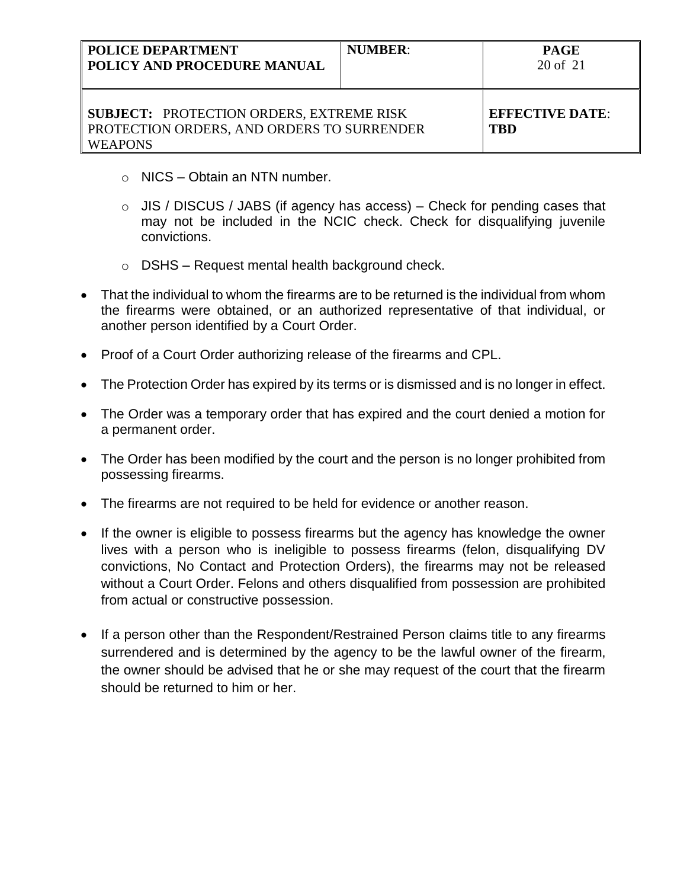| <b>POLICE DEPARTMENT</b><br><b>POLICY AND PROCEDURE MANUAL</b>                                                  | <b>NUMBER:</b> | <b>PAGE</b><br>20 of 21       |
|-----------------------------------------------------------------------------------------------------------------|----------------|-------------------------------|
| <b>SUBJECT: PROTECTION ORDERS, EXTREME RISK</b><br>PROTECTION ORDERS, AND ORDERS TO SURRENDER<br><b>WEAPONS</b> |                | <b>EFFECTIVE DATE:</b><br>TBD |

- o NICS Obtain an NTN number.
- $\circ$  JIS / DISCUS / JABS (if agency has access) Check for pending cases that may not be included in the NCIC check. Check for disqualifying juvenile convictions.
- $\circ$  DSHS Request mental health background check.
- That the individual to whom the firearms are to be returned is the individual from whom the firearms were obtained, or an authorized representative of that individual, or another person identified by a Court Order.
- Proof of a Court Order authorizing release of the firearms and CPL.
- The Protection Order has expired by its terms or is dismissed and is no longer in effect.
- The Order was a temporary order that has expired and the court denied a motion for a permanent order.
- The Order has been modified by the court and the person is no longer prohibited from possessing firearms.
- The firearms are not required to be held for evidence or another reason.
- If the owner is eligible to possess firearms but the agency has knowledge the owner lives with a person who is ineligible to possess firearms (felon, disqualifying DV convictions, No Contact and Protection Orders), the firearms may not be released without a Court Order. Felons and others disqualified from possession are prohibited from actual or constructive possession.
- If a person other than the Respondent/Restrained Person claims title to any firearms surrendered and is determined by the agency to be the lawful owner of the firearm, the owner should be advised that he or she may request of the court that the firearm should be returned to him or her.